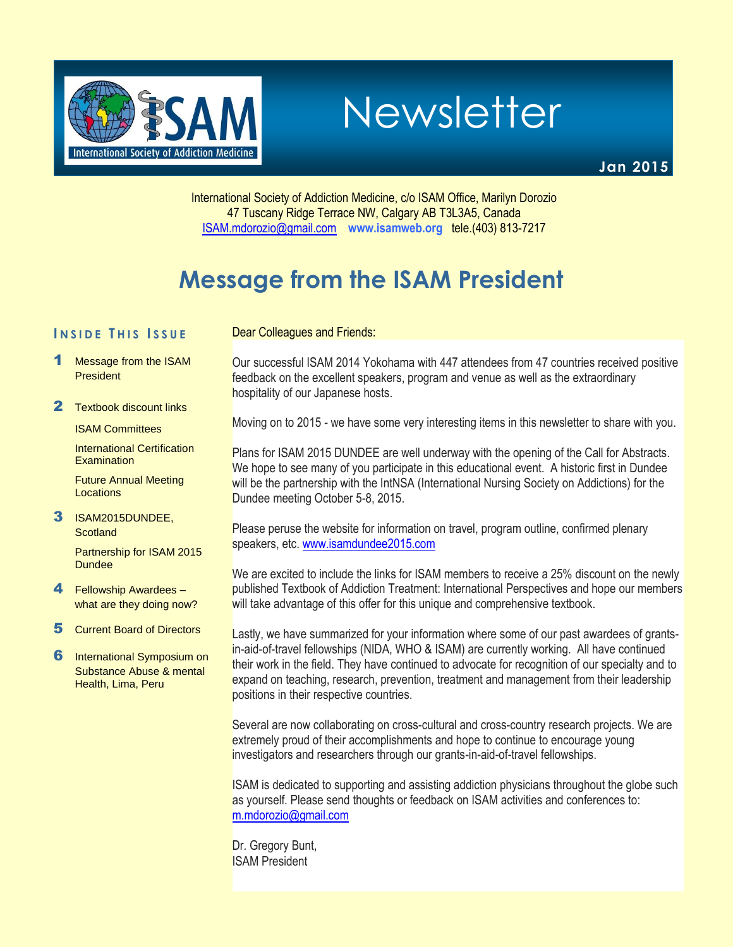

Newsletter

**Jan 2015**

International Society of Addiction Medicine, c/o ISAM Office, Marilyn Dorozio 47 Tuscany Ridge Terrace NW, Calgary AB T3L3A5, Canada [ISAM.mdorozio@gmail.com](mailto:office@isamweb.com/mdorozio@shaw.ca) **www.isamweb.org** tele.(403) 813-7217

# **Message from the ISAM President**

Dear Colleagues and Friends:

### **I N S I D E T H I S I S S U E**

- 1 Message from the ISAM **President**
- 2 Textbook discount links

ISAM Committees

International Certification **Examination** 

Future Annual Meeting **Locations** 

3 ISAM2015DUNDEE, **Scotland** 

> Partnership for ISAM 2015 **Dundee**

- 4 Fellowship Awardees what are they doing now?
- 5 Current Board of Directors
- **6** International Symposium on Substance Abuse & mental Health, Lima, Peru

Our successful ISAM 2014 Yokohama with 447 attendees from 47 countries received positive feedback on the excellent speakers, program and venue as well as the extraordinary hospitality of our Japanese hosts.

Moving on to 2015 - we have some very interesting items in this newsletter to share with you.

Plans for ISAM 2015 DUNDEE are well underway with the opening of the Call for Abstracts. We hope to see many of you participate in this educational event. A historic first in Dundee will be the partnership with the IntNSA (International Nursing Society on Addictions) for the Dundee meeting October 5-8, 2015.

Please peruse the website for information on travel, program outline, confirmed plenary speakers, etc[. www.isamdundee2015.com](http://www.isamdundee2015.com/)

We are excited to include the links for ISAM members to receive a 25% discount on the newly published Textbook of Addiction Treatment: International Perspectives and hope our members will take advantage of this offer for this unique and comprehensive textbook.

Lastly, we have summarized for your information where some of our past awardees of grantsin-aid-of-travel fellowships (NIDA, WHO & ISAM) are currently working. All have continued their work in the field. They have continued to advocate for recognition of our specialty and to expand on teaching, research, prevention, treatment and management from their leadership positions in their respective countries.

Several are now collaborating on cross-cultural and cross-country research projects. We are extremely proud of their accomplishments and hope to continue to encourage young investigators and researchers through our grants-in-aid-of-travel fellowships.

ISAM is dedicated to supporting and assisting addiction physicians throughout the globe such as yourself. Please send thoughts or feedback on ISAM activities and conferences to: [m.mdorozio@gmail.com](mailto:m.mdorozio@gmail.com)

Dr. Gregory Bunt, ISAM President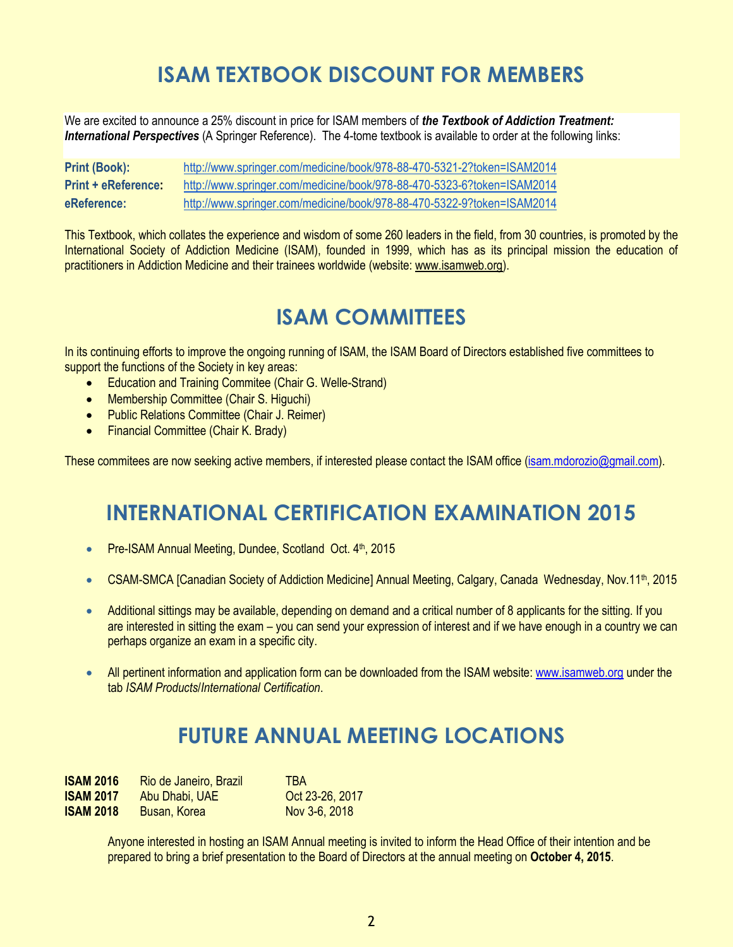# **ISAM TEXTBOOK DISCOUNT FOR MEMBERS**

We are excited to announce a 25% discount in price for ISAM members of *the Textbook of Addiction Treatment: International Perspectives* (A Springer Reference). The 4-tome textbook is available to order at the following links:

| <b>Print (Book):</b>       | http://www.springer.com/medicine/book/978-88-470-5321-2?token=ISAM2014 |
|----------------------------|------------------------------------------------------------------------|
| <b>Print + eReference:</b> | http://www.springer.com/medicine/book/978-88-470-5323-6?token=ISAM2014 |
| eReference:                | http://www.springer.com/medicine/book/978-88-470-5322-9?token=ISAM2014 |

This Textbook, which collates the experience and wisdom of some 260 leaders in the field, from 30 countries, is promoted by the International Society of Addiction Medicine (ISAM), founded in 1999, which has as its principal mission the education of practitioners in Addiction Medicine and their trainees worldwide (website: [www.isamweb.org\)](http://www.isamweb.org/).

# **ISAM COMMITTEES**

In its continuing efforts to improve the ongoing running of ISAM, the ISAM Board of Directors established five committees to support the functions of the Society in key areas:

- Education and Training Commitee (Chair G. Welle-Strand)
- Membership Committee (Chair S. Higuchi)
- Public Relations Committee (Chair J. Reimer)
- Financial Committee (Chair K. Brady)

These commitees are now seeking active members, if interested please contact the ISAM office [\(isam.mdorozio@gmail.com\)](mailto:isam.mdorozio@gmail.com).

### **INTERNATIONAL CERTIFICATION EXAMINATION 2015**

- Pre-ISAM Annual Meeting, Dundee, Scotland Oct. 4<sup>th</sup>, 2015
- CSAM-SMCA [Canadian Society of Addiction Medicine] Annual Meeting, Calgary, Canada Wednesday, Nov.11<sup>th</sup>, 2015
- Additional sittings may be available, depending on demand and a critical number of 8 applicants for the sitting. If you are interested in sitting the exam – you can send your expression of interest and if we have enough in a country we can perhaps organize an exam in a specific city.
- All pertinent information and application form can be downloaded from the ISAM website[: www.isamweb.org](http://www.isamweb.org/) under the tab *ISAM Products*/*International Certification*.

# **FUTURE ANNUAL MEETING LOCATIONS**

| <b>ISAM 2016</b> | Rio de Janeiro, Brazil | <b>TRA</b>      |
|------------------|------------------------|-----------------|
| <b>ISAM 2017</b> | Abu Dhabi, UAE         | Oct 23-26, 2017 |
| <b>ISAM 2018</b> | Busan, Korea           | Nov 3-6, 2018   |

Anyone interested in hosting an ISAM Annual meeting is invited to inform the Head Office of their intention and be prepared to bring a brief presentation to the Board of Directors at the annual meeting on **October 4, 2015**.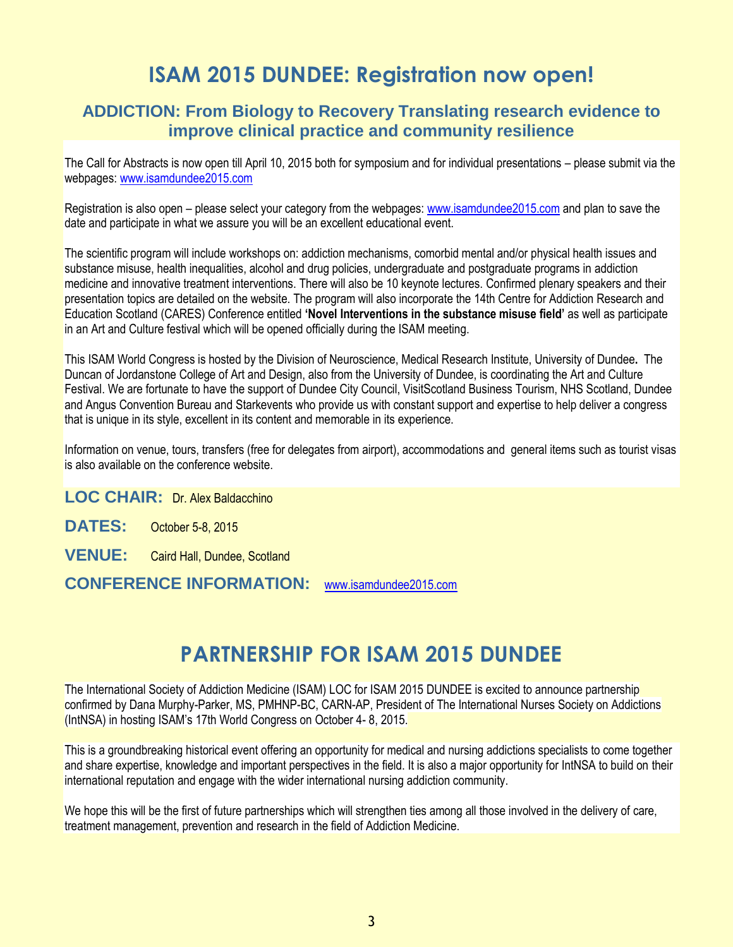## **ISAM 2015 DUNDEE: Registration now open!**

### **ADDICTION: From Biology to Recovery Translating research evidence to improve clinical practice and community resilience**

The Call for Abstracts is now open till April 10, 2015 both for symposium and for individual presentations – please submit via the webpages: [www.isamdundee2015.com](http://www.isamdundee2015.com/)

Registration is also open – please select your category from the webpages: [www.isamdundee2015.com](http://www.isamdundee2015.com/) and plan to save the date and participate in what we assure you will be an excellent educational event.

The scientific program will include workshops on: addiction mechanisms, comorbid mental and/or physical health issues and substance misuse, health inequalities, alcohol and drug policies, undergraduate and postgraduate programs in addiction medicine and innovative treatment interventions. There will also be 10 keynote lectures. Confirmed plenary speakers and their presentation topics are detailed on the website. The program will also incorporate the 14th Centre for Addiction Research and Education Scotland (CARES) Conference entitled **'Novel Interventions in the substance misuse field'** as well as participate in an Art and Culture festival which will be opened officially during the ISAM meeting.

This ISAM World Congress is hosted by the Division of Neuroscience, Medical Research Institute, University of Dundee**.** The Duncan of Jordanstone College of Art and Design, also from the University of Dundee, is coordinating the Art and Culture Festival. We are fortunate to have the support of Dundee City Council, VisitScotland Business Tourism, NHS Scotland, Dundee and Angus Convention Bureau and Starkevents who provide us with constant support and expertise to help deliver a congress that is unique in its style, excellent in its content and memorable in its experience.

Information on venue, tours, transfers (free for delegates from airport), accommodations and general items such as tourist visas is also available on the conference website.

**LOC CHAIR:** Dr. Alex Baldacchino

**DATES:** October 5-8, 2015

**VENUE:** Caird Hall, Dundee, Scotland

**CONFERENCE INFORMATION:** [www.isamdundee2015.com](http://www.isamdundee2015.com/)

## **PARTNERSHIP FOR ISAM 2015 DUNDEE**

The International Society of Addiction Medicine (ISAM) LOC for ISAM 2015 DUNDEE is excited to announce partnership confirmed by Dana Murphy-Parker, MS, PMHNP-BC, CARN-AP, President of The International Nurses Society on Addictions (IntNSA) in hosting ISAM's 17th World Congress on October 4- 8, 2015.

This is a groundbreaking historical event offering an opportunity for medical and nursing addictions specialists to come together and share expertise, knowledge and important perspectives in the field. It is also a major opportunity for IntNSA to build on their international reputation and engage with the wider international nursing addiction community.

We hope this will be the first of future partnerships which will strengthen ties among all those involved in the delivery of care, treatment management, prevention and research in the field of Addiction Medicine.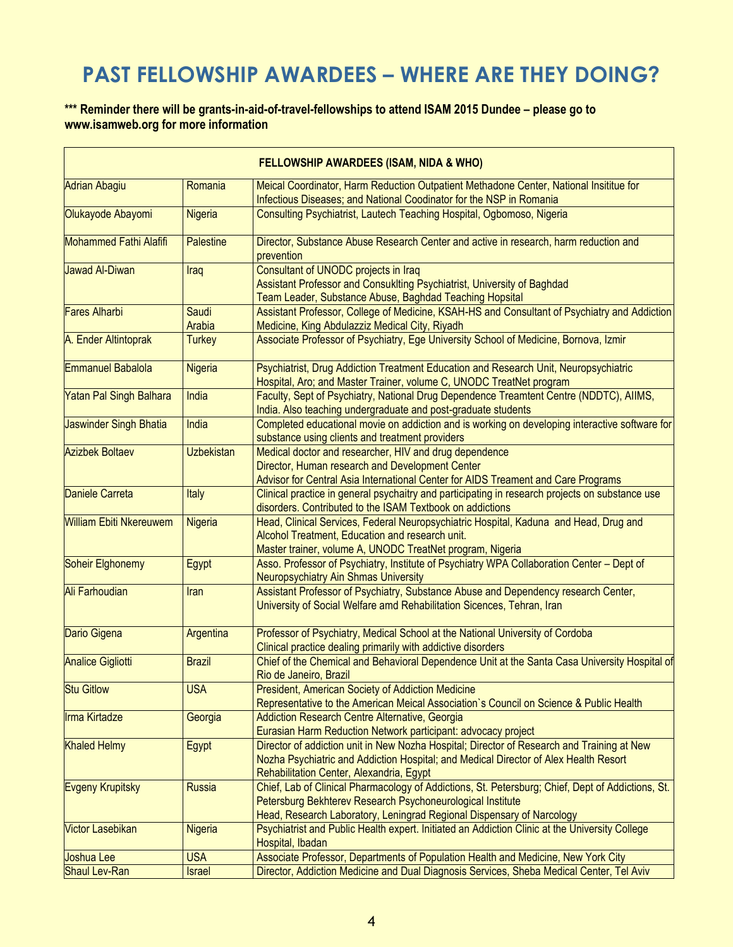# **PAST FELLOWSHIP AWARDEES – WHERE ARE THEY DOING?**

#### **\*\*\* Reminder there will be grants-in-aid-of-travel-fellowships to attend ISAM 2015 Dundee – please go to www.isamweb.org for more information**

| <b>FELLOWSHIP AWARDEES (ISAM, NIDA &amp; WHO)</b> |                   |                                                                                                                                                                                                                                          |  |  |
|---------------------------------------------------|-------------------|------------------------------------------------------------------------------------------------------------------------------------------------------------------------------------------------------------------------------------------|--|--|
| <b>Adrian Abagiu</b>                              | Romania           | Meical Coordinator, Harm Reduction Outpatient Methadone Center, National Insititue for<br>Infectious Diseases; and National Coodinator for the NSP in Romania                                                                            |  |  |
| Olukayode Abayomi                                 | Nigeria           | Consulting Psychiatrist, Lautech Teaching Hospital, Ogbomoso, Nigeria                                                                                                                                                                    |  |  |
| Mohammed Fathi Alafifi                            | <b>Palestine</b>  | Director, Substance Abuse Research Center and active in research, harm reduction and<br>prevention                                                                                                                                       |  |  |
| Jawad Al-Diwan                                    | Iraq              | Consultant of UNODC projects in Iraq<br>Assistant Professor and Consuklting Psychiatrist, University of Baghdad<br>Team Leader, Substance Abuse, Baghdad Teaching Hopsital                                                               |  |  |
| <b>Fares Alharbi</b>                              | Saudi<br>Arabia   | Assistant Professor, College of Medicine, KSAH-HS and Consultant of Psychiatry and Addiction<br>Medicine, King Abdulazziz Medical City, Riyadh                                                                                           |  |  |
| A. Ender Altintoprak                              | <b>Turkey</b>     | Associate Professor of Psychiatry, Ege University School of Medicine, Bornova, Izmir                                                                                                                                                     |  |  |
| Emmanuel Babalola                                 | Nigeria           | Psychiatrist, Drug Addiction Treatment Education and Research Unit, Neuropsychiatric<br>Hospital, Aro; and Master Trainer, volume C, UNODC TreatNet program                                                                              |  |  |
| Yatan Pal Singh Balhara                           | India             | Faculty, Sept of Psychiatry, National Drug Dependence Treamtent Centre (NDDTC), AIIMS,<br>India. Also teaching undergraduate and post-graduate students                                                                                  |  |  |
| Jaswinder Singh Bhatia                            | India             | Completed educational movie on addiction and is working on developing interactive software for<br>substance using clients and treatment providers                                                                                        |  |  |
| <b>Azizbek Boltaev</b>                            | <b>Uzbekistan</b> | Medical doctor and researcher, HIV and drug dependence<br>Director, Human research and Development Center<br>Advisor for Central Asia International Center for AIDS Treament and Care Programs                                           |  |  |
| <b>Daniele Carreta</b>                            | Italy             | Clinical practice in general psychaitry and participating in research projects on substance use<br>disorders. Contributed to the ISAM Textbook on addictions                                                                             |  |  |
| <b>William Ebiti Nkereuwem</b>                    | Nigeria           | Head, Clinical Services, Federal Neuropsychiatric Hospital, Kaduna and Head, Drug and<br>Alcohol Treatment, Education and research unit.<br>Master trainer, volume A, UNODC TreatNet program, Nigeria                                    |  |  |
| Soheir Elghonemy                                  | Egypt             | Asso. Professor of Psychiatry, Institute of Psychiatry WPA Collaboration Center - Dept of<br><b>Neuropsychiatry Ain Shmas University</b>                                                                                                 |  |  |
| Ali Farhoudian                                    | Iran              | Assistant Professor of Psychiatry, Substance Abuse and Dependency research Center,<br>University of Social Welfare amd Rehabilitation Sicences, Tehran, Iran                                                                             |  |  |
| Dario Gigena                                      | Argentina         | Professor of Psychiatry, Medical School at the National University of Cordoba<br>Clinical practice dealing primarily with addictive disorders                                                                                            |  |  |
| <b>Analice Gigliotti</b>                          | <b>Brazil</b>     | Chief of the Chemical and Behavioral Dependence Unit at the Santa Casa University Hospital of<br>Rio de Janeiro, Brazil                                                                                                                  |  |  |
| <b>Stu Gitlow</b>                                 | <b>USA</b>        | <b>President, American Society of Addiction Medicine</b><br>Representative to the American Meical Association's Council on Science & Public Health                                                                                       |  |  |
| Irma Kirtadze                                     | Georgia           | Addiction Research Centre Alternative, Georgia<br>Eurasian Harm Reduction Network participant: advocacy project                                                                                                                          |  |  |
| <b>Khaled Helmy</b>                               | Egypt             | Director of addiction unit in New Nozha Hospital; Director of Research and Training at New<br>Nozha Psychiatric and Addiction Hospital; and Medical Director of Alex Health Resort<br>Rehabilitation Center, Alexandria, Egypt           |  |  |
| Evgeny Krupitsky                                  | <b>Russia</b>     | Chief, Lab of Clinical Pharmacology of Addictions, St. Petersburg; Chief, Dept of Addictions, St.<br>Petersburg Bekhterev Research Psychoneurological Institute<br>Head, Research Laboratory, Leningrad Regional Dispensary of Narcology |  |  |
| <b>Victor Lasebikan</b>                           | <b>Nigeria</b>    | Psychiatrist and Public Health expert. Initiated an Addiction Clinic at the University College<br>Hospital, Ibadan                                                                                                                       |  |  |
| Joshua Lee                                        | <b>USA</b>        | Associate Professor, Departments of Population Health and Medicine, New York City                                                                                                                                                        |  |  |
| Shaul Lev-Ran                                     | <b>Israel</b>     | Director, Addiction Medicine and Dual Diagnosis Services, Sheba Medical Center, Tel Aviv                                                                                                                                                 |  |  |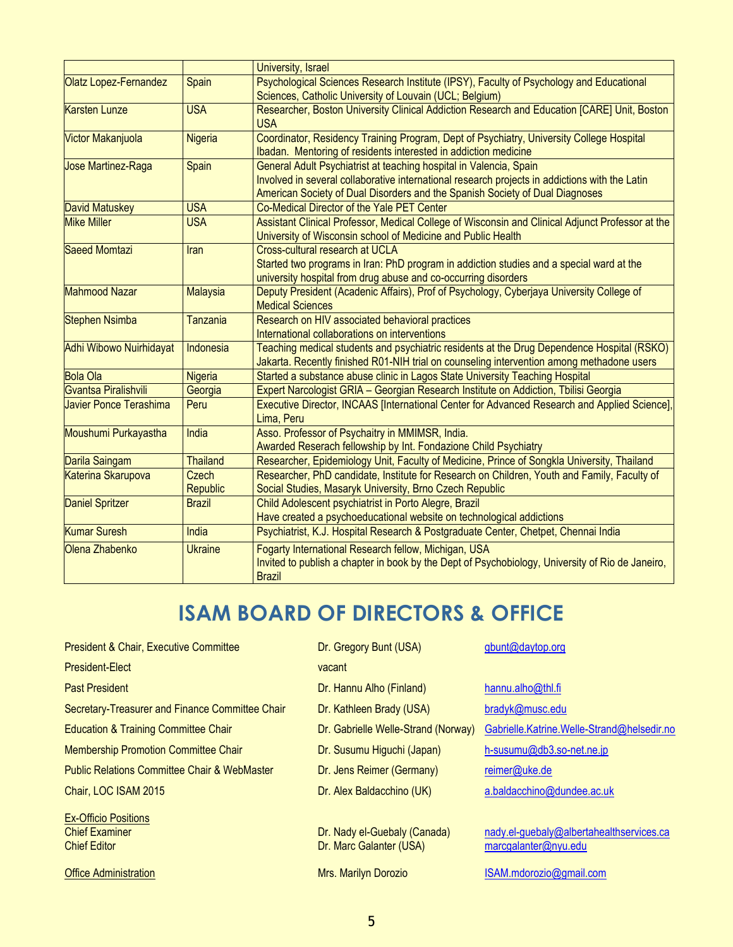|                          |                                                                                                  | University, Israel                                                                                                                                                                                                                                   |  |
|--------------------------|--------------------------------------------------------------------------------------------------|------------------------------------------------------------------------------------------------------------------------------------------------------------------------------------------------------------------------------------------------------|--|
| Olatz Lopez-Fernandez    | Psychological Sciences Research Institute (IPSY), Faculty of Psychology and Educational<br>Spain |                                                                                                                                                                                                                                                      |  |
|                          |                                                                                                  | Sciences, Catholic University of Louvain (UCL; Belgium)                                                                                                                                                                                              |  |
| <b>Karsten Lunze</b>     | <b>USA</b>                                                                                       | Researcher, Boston University Clinical Addiction Research and Education [CARE] Unit, Boston<br><b>USA</b>                                                                                                                                            |  |
| <b>Victor Makanjuola</b> | <b>Nigeria</b>                                                                                   | Coordinator, Residency Training Program, Dept of Psychiatry, University College Hospital<br>Ibadan. Mentoring of residents interested in addiction medicine                                                                                          |  |
| Jose Martinez-Raga       | Spain                                                                                            | General Adult Psychiatrist at teaching hospital in Valencia, Spain<br>Involved in several collaborative international research projects in addictions with the Latin<br>American Society of Dual Disorders and the Spanish Society of Dual Diagnoses |  |
| <b>David Matuskey</b>    | <b>USA</b>                                                                                       | Co-Medical Director of the Yale PET Center                                                                                                                                                                                                           |  |
| <b>Mike Miller</b>       | <b>USA</b>                                                                                       | Assistant Clinical Professor, Medical College of Wisconsin and Clinical Adjunct Professor at the<br>University of Wisconsin school of Medicine and Public Health                                                                                     |  |
| Saeed Momtazi            | Iran                                                                                             | Cross-cultural research at UCLA<br>Started two programs in Iran: PhD program in addiction studies and a special ward at the<br>university hospital from drug abuse and co-occurring disorders                                                        |  |
| <b>Mahmood Nazar</b>     | <b>Malaysia</b>                                                                                  | Deputy President (Acadenic Affairs), Prof of Psychology, Cyberjaya University College of<br><b>Medical Sciences</b>                                                                                                                                  |  |
| <b>Stephen Nsimba</b>    | Tanzania                                                                                         | Research on HIV associated behavioral practices<br>International collaborations on interventions                                                                                                                                                     |  |
| Adhi Wibowo Nuirhidayat  | Indonesia                                                                                        | Teaching medical students and psychiatric residents at the Drug Dependence Hospital (RSKO)<br>Jakarta. Recently finished R01-NIH trial on counseling intervention among methadone users                                                              |  |
| <b>Bola Ola</b>          | <b>Nigeria</b>                                                                                   | Started a substance abuse clinic in Lagos State University Teaching Hospital                                                                                                                                                                         |  |
| Gvantsa Piralishvili     | Georgia                                                                                          | Expert Narcologist GRIA - Georgian Research Institute on Addiction, Tbilisi Georgia                                                                                                                                                                  |  |
| Javier Ponce Terashima   | Peru                                                                                             | Executive Director, INCAAS [International Center for Advanced Research and Applied Science],<br>Lima, Peru                                                                                                                                           |  |
| Moushumi Purkayastha     | India                                                                                            | Asso. Professor of Psychaitry in MMIMSR, India.<br>Awarded Reserach fellowship by Int. Fondazione Child Psychiatry                                                                                                                                   |  |
| Darila Saingam           | <b>Thailand</b>                                                                                  | Researcher, Epidemiology Unit, Faculty of Medicine, Prince of Songkla University, Thailand                                                                                                                                                           |  |
| Katerina Skarupova       | Czech<br><b>Republic</b>                                                                         | Researcher, PhD candidate, Institute for Research on Children, Youth and Family, Faculty of<br>Social Studies, Masaryk University, Brno Czech Republic                                                                                               |  |
| <b>Daniel Spritzer</b>   | <b>Brazil</b>                                                                                    | Child Adolescent psychiatrist in Porto Alegre, Brazil<br>Have created a psychoeducational website on technological addictions                                                                                                                        |  |
| <b>Kumar Suresh</b>      | India                                                                                            | Psychiatrist, K.J. Hospital Research & Postgraduate Center, Chetpet, Chennai India                                                                                                                                                                   |  |
| Olena Zhabenko           | <b>Ukraine</b>                                                                                   | Fogarty International Research fellow, Michigan, USA<br>Invited to publish a chapter in book by the Dept of Psychobiology, University of Rio de Janeiro,<br><b>Brazil</b>                                                                            |  |

# **ISAM BOARD OF DIRECTORS & OFFICE**

| <b>President &amp; Chair, Executive Committee</b>       | Dr. Gregory Bunt (USA)              | gbunt@daytop.org                           |
|---------------------------------------------------------|-------------------------------------|--------------------------------------------|
| <b>President-Elect</b>                                  | vacant                              |                                            |
| <b>Past President</b>                                   | Dr. Hannu Alho (Finland)            | hannu.alho@thl.fi                          |
| Secretary-Treasurer and Finance Committee Chair         | Dr. Kathleen Brady (USA)            | bradyk@musc.edu                            |
| <b>Education &amp; Training Committee Chair</b>         | Dr. Gabrielle Welle-Strand (Norway) | Gabrielle.Katrine.Welle-Strand@helsedir.no |
| <b>Membership Promotion Committee Chair</b>             | Dr. Susumu Higuchi (Japan)          | h-susumu@db3.so-net.ne.jp                  |
| <b>Public Relations Committee Chair &amp; WebMaster</b> | Dr. Jens Reimer (Germany)           | reimer@uke.de                              |
| Chair, LOC ISAM 2015                                    | Dr. Alex Baldacchino (UK)           | a.baldacchino@dundee.ac.uk                 |
| <b>Ex-Officio Positions</b>                             |                                     |                                            |
| <b>Chief Examiner</b>                                   | Dr. Nady el-Guebaly (Canada)        | nady.el-guebaly@albertahealthservices.ca   |
| <b>Chief Editor</b>                                     | Dr. Marc Galanter (USA)             | marcgalanter@nyu.edu                       |
| <b>Office Administration</b>                            | Mrs. Marilyn Dorozio                | ISAM.mdorozio@gmail.com                    |